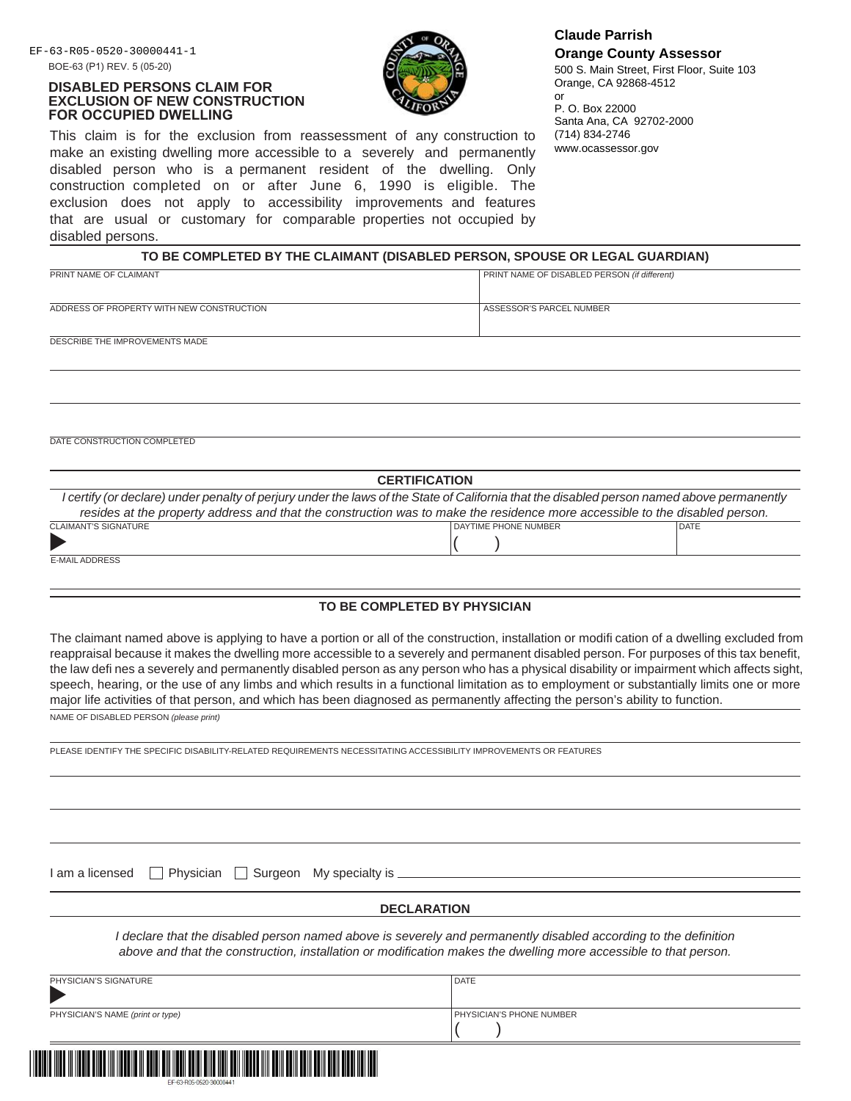## **DISABLED PERSONS CLAIM FOR EXCLUSION OF NEW CONSTRUCTION FOR OCCUPIED DWELLING**



This claim is for the exclusion from reassessment of any construction to make an existing dwelling more accessible to a severely and permanently disabled person who is a permanent resident of the dwelling. Only construction completed on or after June 6, 1990 is eligible. The exclusion does not apply to accessibility improvements and features that are usual or customary for comparable properties not occupied by disabled persons.

EF-63-R05-0520-30000441-1 **Claude Parrish Orange County Assessor**

500 S. Main Street, First Floor, Suite 103 Orange, CA 92868-4512 or

P. O. Box 22000 Santa Ana, CA 92702-2000 (714) 834-2746 www.ocassessor.gov

| PRINT NAME OF CLAIMANT                    | <b>PRINT NAME OF DISABLED PERSON (if different)</b> |
|-------------------------------------------|-----------------------------------------------------|
|                                           |                                                     |
| ADDRESS OF PROPERTY WITH NEW CONSTRUCTION | l ASSESSOR'S PARCEL NUMBER                          |
| DESCRIBE THE IMPROVEMENTS MADE            |                                                     |

DATE CONSTRUCTION COMPLETED

| <b>CERTIFICATION</b>                                                                                                                       |                      |             |  |
|--------------------------------------------------------------------------------------------------------------------------------------------|----------------------|-------------|--|
| I certify (or declare) under penalty of perjury under the laws of the State of California that the disabled person named above permanently |                      |             |  |
| resides at the property address and that the construction was to make the residence more accessible to the disabled person.                |                      |             |  |
| <b>CLAIMANT'S SIGNATURE</b>                                                                                                                | DAYTIME PHONE NUMBER | <b>DATE</b> |  |
| Þ                                                                                                                                          |                      |             |  |
| <b>E-MAIL ADDRESS</b>                                                                                                                      |                      |             |  |

## **TO BE COMPLETED BY PHYSICIAN**

The claimant named above is applying to have a portion or all of the construction, installation or modifi cation of a dwelling excluded from reappraisal because it makes the dwelling more accessible to a severely and permanent disabled person. For purposes of this tax benefit, the law defi nes a severely and permanently disabled person as any person who has a physical disability or impairment which affects sight, speech, hearing, or the use of any limbs and which results in a functional limitation as to employment or substantially limits one or more major life activities of that person, and which has been diagnosed as permanently affecting the person's ability to function.

NAME OF DISABLED PERSON *(please print)*

PLEASE IDENTIFY THE SPECIFIC DISABILITY-RELATED REQUIREMENTS NECESSITATING ACCESSIBILITY IMPROVEMENTS OR FEATURES

I am a licensed  $\Box$  Physician  $\Box$  Surgeon My specialty is  $\Box$ 

## **DECLARATION**

*I* declare that the disabled person named above is severely and permanently disabled according to the definition *above and that the construction, installation or modifi cation makes the dwelling more accessible to that person.*

| PHYSICIAN'S SIGNATURE            | <b>DATE</b>                     |
|----------------------------------|---------------------------------|
| PHYSICIAN'S NAME (print or type) | <b>PHYSICIAN'S PHONE NUMBER</b> |
|                                  |                                 |